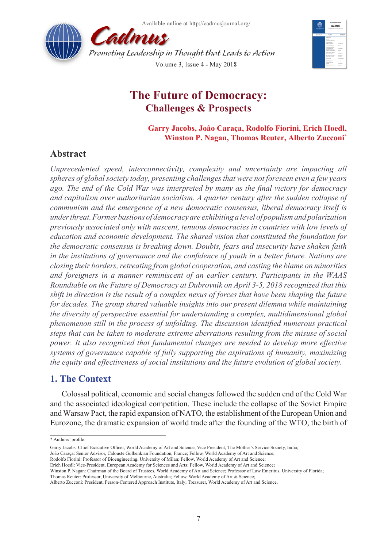Available online at http://cadmusjournal.org/





# **The Future of Democracy: Challenges & Prospects**

**Garry Jacobs, João Caraça, Rodolfo Fiorini, Erich Hoedl, Winston P. Nagan, Thomas Reuter, Alberto Zucconi\***

## **Abstract**

*Unprecedented speed, interconnectivity, complexity and uncertainty are impacting all spheres of global society today, presenting challenges that were not foreseen even a few years ago. The end of the Cold War was interpreted by many as the final victory for democracy and capitalism over authoritarian socialism. A quarter century after the sudden collapse of communism and the emergence of a new democratic consensus, liberal democracy itself is under threat. Former bastions of democracy are exhibiting a level of populism and polarization previously associated only with nascent, tenuous democracies in countries with low levels of education and economic development. The shared vision that constituted the foundation for the democratic consensus is breaking down. Doubts, fears and insecurity have shaken faith in the institutions of governance and the confidence of youth in a better future. Nations are closing their borders, retreating from global cooperation, and casting the blame on minorities and foreigners in a manner reminiscent of an earlier century. Participants in the WAAS Roundtable on the Future of Democracy at Dubrovnik on April 3-5, 2018 recognized that this shift in direction is the result of a complex nexus of forces that have been shaping the future for decades. The group shared valuable insights into our present dilemma while maintaining the diversity of perspective essential for understanding a complex, multidimensional global phenomenon still in the process of unfolding. The discussion identified numerous practical steps that can be taken to moderate extreme aberrations resulting from the misuse of social power. It also recognized that fundamental changes are needed to develop more effective systems of governance capable of fully supporting the aspirations of humanity, maximizing the equity and effectiveness of social institutions and the future evolution of global society.*

## **1. The Context**

Colossal political, economic and social changes followed the sudden end of the Cold War and the associated ideological competition. These include the collapse of the Soviet Empire and Warsaw Pact, the rapid expansion of NATO, the establishment of the European Union and Eurozone, the dramatic expansion of world trade after the founding of the WTO, the birth of

<sup>\*</sup> Authors' profile:

Garry Jacobs: Chief Executive Officer, World Academy of Art and Science; Vice President, The Mother's Service Society, India;

João Caraça: Senior Advisor, Calouste Gulbenkian Foundation, France; Fellow, World Academy of Art and Science;

Rodolfo Fiorini: Professor of Bioengineering, University of Milan; Fellow, World Academy of Art and Science;

Erich Hoedl: Vice-President, European Academy for Sciences and Arts; Fellow, World Academy of Art and Science;

Winston P. Nagan: Chairman of the Board of Trustees, World Academy of Art and Science; Professor of Law Emeritus, University of Florida; Thomas Reuter: Professor, University of Melbourne, Australia; Fellow, World Academy of Art & Science;

Alberto Zucconi: President, Person-Centered Approach Institute, Italy; Treasurer, World Academy of Art and Science.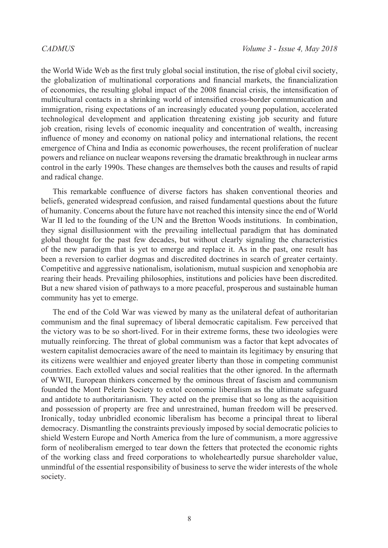the World Wide Web as the first truly global social institution, the rise of global civil society, the globalization of multinational corporations and financial markets, the financialization of economies, the resulting global impact of the 2008 financial crisis, the intensification of multicultural contacts in a shrinking world of intensified cross-border communication and immigration, rising expectations of an increasingly educated young population, accelerated technological development and application threatening existing job security and future job creation, rising levels of economic inequality and concentration of wealth, increasing influence of money and economy on national policy and international relations, the recent emergence of China and India as economic powerhouses, the recent proliferation of nuclear powers and reliance on nuclear weapons reversing the dramatic breakthrough in nuclear arms control in the early 1990s. These changes are themselves both the causes and results of rapid and radical change.

This remarkable confluence of diverse factors has shaken conventional theories and beliefs, generated widespread confusion, and raised fundamental questions about the future of humanity. Concerns about the future have not reached this intensity since the end of World War II led to the founding of the UN and the Bretton Woods institutions. In combination, they signal disillusionment with the prevailing intellectual paradigm that has dominated global thought for the past few decades, but without clearly signaling the characteristics of the new paradigm that is yet to emerge and replace it. As in the past, one result has been a reversion to earlier dogmas and discredited doctrines in search of greater certainty. Competitive and aggressive nationalism, isolationism, mutual suspicion and xenophobia are rearing their heads. Prevailing philosophies, institutions and policies have been discredited. But a new shared vision of pathways to a more peaceful, prosperous and sustainable human community has yet to emerge.

The end of the Cold War was viewed by many as the unilateral defeat of authoritarian communism and the final supremacy of liberal democratic capitalism. Few perceived that the victory was to be so short-lived. For in their extreme forms, these two ideologies were mutually reinforcing. The threat of global communism was a factor that kept advocates of western capitalist democracies aware of the need to maintain its legitimacy by ensuring that its citizens were wealthier and enjoyed greater liberty than those in competing communist countries. Each extolled values and social realities that the other ignored. In the aftermath of WWII, European thinkers concerned by the ominous threat of fascism and communism founded the Mont Pelerin Society to extol economic liberalism as the ultimate safeguard and antidote to authoritarianism. They acted on the premise that so long as the acquisition and possession of property are free and unrestrained, human freedom will be preserved. Ironically, today unbridled economic liberalism has become a principal threat to liberal democracy. Dismantling the constraints previously imposed by social democratic policies to shield Western Europe and North America from the lure of communism, a more aggressive form of neoliberalism emerged to tear down the fetters that protected the economic rights of the working class and freed corporations to wholeheartedly pursue shareholder value, unmindful of the essential responsibility of business to serve the wider interests of the whole society.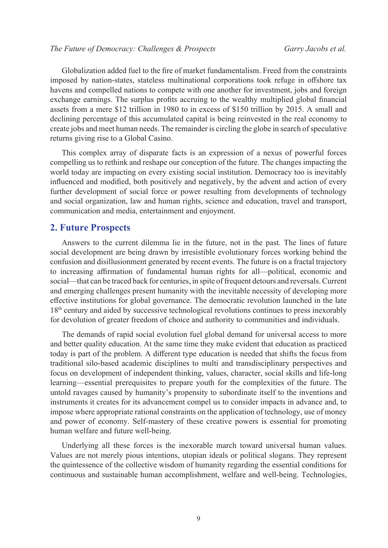Globalization added fuel to the fire of market fundamentalism. Freed from the constraints imposed by nation-states, stateless multinational corporations took refuge in offshore tax havens and compelled nations to compete with one another for investment, jobs and foreign exchange earnings. The surplus profits accruing to the wealthy multiplied global financial assets from a mere \$12 trillion in 1980 to in excess of \$150 trillion by 2015. A small and declining percentage of this accumulated capital is being reinvested in the real economy to create jobs and meet human needs. The remainder is circling the globe in search of speculative returns giving rise to a Global Casino.

This complex array of disparate facts is an expression of a nexus of powerful forces compelling us to rethink and reshape our conception of the future. The changes impacting the world today are impacting on every existing social institution. Democracy too is inevitably influenced and modified, both positively and negatively, by the advent and action of every further development of social force or power resulting from developments of technology and social organization, law and human rights, science and education, travel and transport, communication and media, entertainment and enjoyment.

### **2. Future Prospects**

Answers to the current dilemma lie in the future, not in the past. The lines of future social development are being drawn by irresistible evolutionary forces working behind the confusion and disillusionment generated by recent events. The future is on a fractal trajectory to increasing affirmation of fundamental human rights for all—political, economic and social—that can be traced back for centuries, in spite of frequent detours and reversals. Current and emerging challenges present humanity with the inevitable necessity of developing more effective institutions for global governance. The democratic revolution launched in the late 18th century and aided by successive technological revolutions continues to press inexorably for devolution of greater freedom of choice and authority to communities and individuals.

The demands of rapid social evolution fuel global demand for universal access to more and better quality education. At the same time they make evident that education as practiced today is part of the problem. A different type education is needed that shifts the focus from traditional silo-based academic disciplines to multi and transdisciplinary perspectives and focus on development of independent thinking, values, character, social skills and life-long learning—essential prerequisites to prepare youth for the complexities of the future. The untold ravages caused by humanity's propensity to subordinate itself to the inventions and instruments it creates for its advancement compel us to consider impacts in advance and, to impose where appropriate rational constraints on the application of technology, use of money and power of economy. Self-mastery of these creative powers is essential for promoting human welfare and future well-being.

Underlying all these forces is the inexorable march toward universal human values. Values are not merely pious intentions, utopian ideals or political slogans. They represent the quintessence of the collective wisdom of humanity regarding the essential conditions for continuous and sustainable human accomplishment, welfare and well-being. Technologies,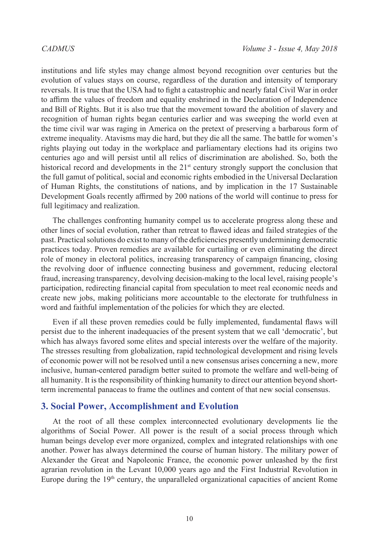institutions and life styles may change almost beyond recognition over centuries but the evolution of values stays on course, regardless of the duration and intensity of temporary reversals. It is true that the USA had to fight a catastrophic and nearly fatal Civil War in order to affirm the values of freedom and equality enshrined in the Declaration of Independence and Bill of Rights. But it is also true that the movement toward the abolition of slavery and recognition of human rights began centuries earlier and was sweeping the world even at the time civil war was raging in America on the pretext of preserving a barbarous form of extreme inequality. Atavisms may die hard, but they die all the same. The battle for women's rights playing out today in the workplace and parliamentary elections had its origins two centuries ago and will persist until all relics of discrimination are abolished. So, both the historical record and developments in the  $21<sup>st</sup>$  century strongly support the conclusion that the full gamut of political, social and economic rights embodied in the Universal Declaration of Human Rights, the constitutions of nations, and by implication in the 17 Sustainable Development Goals recently affirmed by 200 nations of the world will continue to press for full legitimacy and realization.

The challenges confronting humanity compel us to accelerate progress along these and other lines of social evolution, rather than retreat to flawed ideas and failed strategies of the past. Practical solutions do exist to many of the deficiencies presently undermining democratic practices today. Proven remedies are available for curtailing or even eliminating the direct role of money in electoral politics, increasing transparency of campaign financing, closing the revolving door of influence connecting business and government, reducing electoral fraud, increasing transparency, devolving decision-making to the local level, raising people's participation, redirecting financial capital from speculation to meet real economic needs and create new jobs, making politicians more accountable to the electorate for truthfulness in word and faithful implementation of the policies for which they are elected.

Even if all these proven remedies could be fully implemented, fundamental flaws will persist due to the inherent inadequacies of the present system that we call 'democratic', but which has always favored some elites and special interests over the welfare of the majority. The stresses resulting from globalization, rapid technological development and rising levels of economic power will not be resolved until a new consensus arises concerning a new, more inclusive, human-centered paradigm better suited to promote the welfare and well-being of all humanity. It is the responsibility of thinking humanity to direct our attention beyond shortterm incremental panaceas to frame the outlines and content of that new social consensus.

#### **3. Social Power, Accomplishment and Evolution**

At the root of all these complex interconnected evolutionary developments lie the algorithms of Social Power. All power is the result of a social process through which human beings develop ever more organized, complex and integrated relationships with one another. Power has always determined the course of human history. The military power of Alexander the Great and Napoleonic France, the economic power unleashed by the first agrarian revolution in the Levant 10,000 years ago and the First Industrial Revolution in Europe during the  $19<sup>th</sup>$  century, the unparalleled organizational capacities of ancient Rome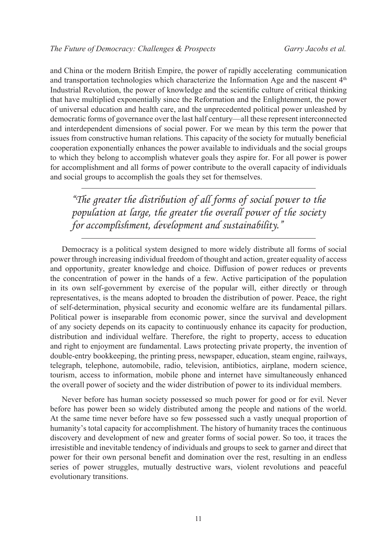and China or the modern British Empire, the power of rapidly accelerating communication and transportation technologies which characterize the Information Age and the nascent  $4<sup>th</sup>$ Industrial Revolution, the power of knowledge and the scientific culture of critical thinking that have multiplied exponentially since the Reformation and the Enlightenment, the power of universal education and health care, and the unprecedented political power unleashed by democratic forms of governance over the last half century—all these represent interconnected and interdependent dimensions of social power. For we mean by this term the power that issues from constructive human relations. This capacity of the society for mutually beneficial cooperation exponentially enhances the power available to individuals and the social groups to which they belong to accomplish whatever goals they aspire for. For all power is power for accomplishment and all forms of power contribute to the overall capacity of individuals and social groups to accomplish the goals they set for themselves.

*"The greater the distribution of all forms of social power to the population at large, the greater the overall power of the society for accomplishment, development and sustainability."*

Democracy is a political system designed to more widely distribute all forms of social power through increasing individual freedom of thought and action, greater equality of access and opportunity, greater knowledge and choice. Diffusion of power reduces or prevents the concentration of power in the hands of a few. Active participation of the population in its own self-government by exercise of the popular will, either directly or through representatives, is the means adopted to broaden the distribution of power. Peace, the right of self-determination, physical security and economic welfare are its fundamental pillars. Political power is inseparable from economic power, since the survival and development of any society depends on its capacity to continuously enhance its capacity for production, distribution and individual welfare. Therefore, the right to property, access to education and right to enjoyment are fundamental. Laws protecting private property, the invention of double-entry bookkeeping, the printing press, newspaper, education, steam engine, railways, telegraph, telephone, automobile, radio, television, antibiotics, airplane, modern science, tourism, access to information, mobile phone and internet have simultaneously enhanced the overall power of society and the wider distribution of power to its individual members.

Never before has human society possessed so much power for good or for evil. Never before has power been so widely distributed among the people and nations of the world. At the same time never before have so few possessed such a vastly unequal proportion of humanity's total capacity for accomplishment. The history of humanity traces the continuous discovery and development of new and greater forms of social power. So too, it traces the irresistible and inevitable tendency of individuals and groups to seek to garner and direct that power for their own personal benefit and domination over the rest, resulting in an endless series of power struggles, mutually destructive wars, violent revolutions and peaceful evolutionary transitions.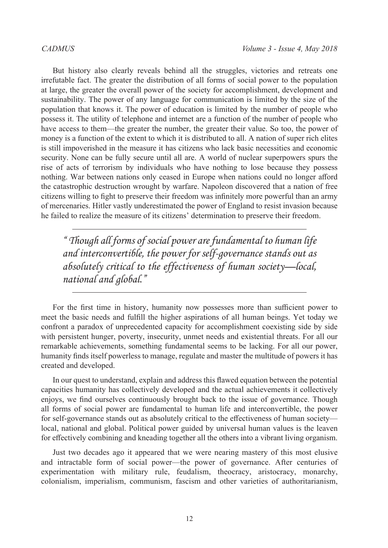But history also clearly reveals behind all the struggles, victories and retreats one irrefutable fact. The greater the distribution of all forms of social power to the population at large, the greater the overall power of the society for accomplishment, development and sustainability. The power of any language for communication is limited by the size of the population that knows it. The power of education is limited by the number of people who possess it. The utility of telephone and internet are a function of the number of people who have access to them—the greater the number, the greater their value. So too, the power of money is a function of the extent to which it is distributed to all. A nation of super rich elites is still impoverished in the measure it has citizens who lack basic necessities and economic security. None can be fully secure until all are. A world of nuclear superpowers spurs the rise of acts of terrorism by individuals who have nothing to lose because they possess nothing. War between nations only ceased in Europe when nations could no longer afford the catastrophic destruction wrought by warfare. Napoleon discovered that a nation of free citizens willing to fight to preserve their freedom was infinitely more powerful than an army of mercenaries. Hitler vastly underestimated the power of England to resist invasion because he failed to realize the measure of its citizens' determination to preserve their freedom.

*" Though all forms of social power are fundamental to human life and interconvertible, the power for self-governance stands out as absolutely critical to the effectiveness of human society—local, national and global."*

For the first time in history, humanity now possesses more than sufficient power to meet the basic needs and fulfill the higher aspirations of all human beings. Yet today we confront a paradox of unprecedented capacity for accomplishment coexisting side by side with persistent hunger, poverty, insecurity, unmet needs and existential threats. For all our remarkable achievements, something fundamental seems to be lacking. For all our power, humanity finds itself powerless to manage, regulate and master the multitude of powers it has created and developed.

In our quest to understand, explain and address this flawed equation between the potential capacities humanity has collectively developed and the actual achievements it collectively enjoys, we find ourselves continuously brought back to the issue of governance. Though all forms of social power are fundamental to human life and interconvertible, the power for self-governance stands out as absolutely critical to the effectiveness of human society local, national and global. Political power guided by universal human values is the leaven for effectively combining and kneading together all the others into a vibrant living organism.

Just two decades ago it appeared that we were nearing mastery of this most elusive and intractable form of social power—the power of governance. After centuries of experimentation with military rule, feudalism, theocracy, aristocracy, monarchy, colonialism, imperialism, communism, fascism and other varieties of authoritarianism,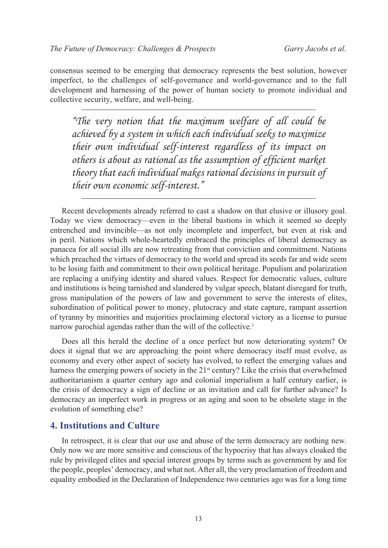consensus seemed to be emerging that democracy represents the best solution, however imperfect, to the challenges of self-governance and world-governance and to the full development and harnessing of the power of human society to promote individual and collective security, welfare, and well-being.

*"The very notion that the maximum welfare of all could be achieved by a system in which each individual seeks to maximize their own individual self-interest regardless of its impact on others is about as rational as the assumption of efficient market theory that each individual makes rational decisions in pursuit of their own economic self-interest."*

Recent developments already referred to cast a shadow on that elusive or illusory goal. Today we view democracy—even in the liberal bastions in which it seemed so deeply entrenched and invincible—as not only incomplete and imperfect, but even at risk and in peril. Nations which whole-heartedly embraced the principles of liberal democracy as panacea for all social ills are now retreating from that conviction and commitment. Nations which preached the virtues of democracy to the world and spread its seeds far and wide seem to be losing faith and commitment to their own political heritage. Populism and polarization are replacing a unifying identity and shared values. Respect for democratic values, culture and institutions is being tarnished and slandered by vulgar speech, blatant disregard for truth, gross manipulation of the powers of law and government to serve the interests of elites, subordination of political power to money, plutocracy and state capture, rampant assertion of tyranny by minorities and majorities proclaiming electoral victory as a license to pursue narrow parochial agendas rather than the will of the collective.<sup>[1](#page-24-0)</sup>

Does all this herald the decline of a once perfect but now deteriorating system? Or does it signal that we are approaching the point where democracy itself must evolve, as economy and every other aspect of society has evolved, to reflect the emerging values and harness the emerging powers of society in the  $21<sup>st</sup>$  century? Like the crisis that overwhelmed authoritarianism a quarter century ago and colonial imperialism a half century earlier, is the crisis of democracy a sign of decline or an invitation and call for further advance? Is democracy an imperfect work in progress or an aging and soon to be obsolete stage in the evolution of something else?

### **4. Institutions and Culture**

In retrospect, it is clear that our use and abuse of the term democracy are nothing new. Only now we are more sensitive and conscious of the hypocrisy that has always cloaked the rule by privileged elites and special interest groups by terms such as government by and for the people, peoples' democracy, and what not. After all, the very proclamation of freedom and equality embodied in the Declaration of Independence two centuries ago was for a long time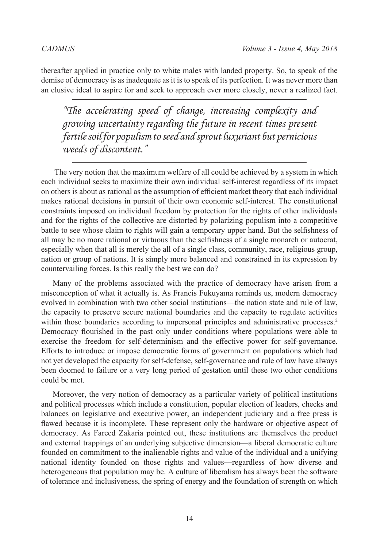thereafter applied in practice only to white males with landed property. So, to speak of the demise of democracy is as inadequate as it is to speak of its perfection. It was never more than an elusive ideal to aspire for and seek to approach ever more closely, never a realized fact.

*"The accelerating speed of change, increasing complexity and growing uncertainty regarding the future in recent times present fertile soil for populism to seed and sprout luxuriant but pernicious weeds of discontent."*

The very notion that the maximum welfare of all could be achieved by a system in which each individual seeks to maximize their own individual self-interest regardless of its impact on others is about as rational as the assumption of efficient market theory that each individual makes rational decisions in pursuit of their own economic self-interest. The constitutional constraints imposed on individual freedom by protection for the rights of other individuals and for the rights of the collective are distorted by polarizing populism into a competitive battle to see whose claim to rights will gain a temporary upper hand. But the selfishness of all may be no more rational or virtuous than the selfishness of a single monarch or autocrat, especially when that all is merely the all of a single class, community, race, religious group, nation or group of nations. It is simply more balanced and constrained in its expression by countervailing forces. Is this really the best we can do?

Many of the problems associated with the practice of democracy have arisen from a misconception of what it actually is. As Francis Fukuyama reminds us, modern democracy evolved in combination with two other social institutions—the nation state and rule of law, the capacity to preserve secure national boundaries and the capacity to regulate activities within those boundaries according to impersonal principles and administrative processes.<sup>[2](#page-24-1)</sup> Democracy flourished in the past only under conditions where populations were able to exercise the freedom for self-determinism and the effective power for self-governance. Efforts to introduce or impose democratic forms of government on populations which had not yet developed the capacity for self-defense, self-governance and rule of law have always been doomed to failure or a very long period of gestation until these two other conditions could be met.

Moreover, the very notion of democracy as a particular variety of political institutions and political processes which include a constitution, popular election of leaders, checks and balances on legislative and executive power, an independent judiciary and a free press is flawed because it is incomplete. These represent only the hardware or objective aspect of democracy. As Fareed Zakaria pointed out, these institutions are themselves the product and external trappings of an underlying subjective dimension—a liberal democratic culture founded on commitment to the inalienable rights and value of the individual and a unifying national identity founded on those rights and values—regardless of how diverse and heterogeneous that population may be. A culture of liberalism has always been the software of tolerance and inclusiveness, the spring of energy and the foundation of strength on which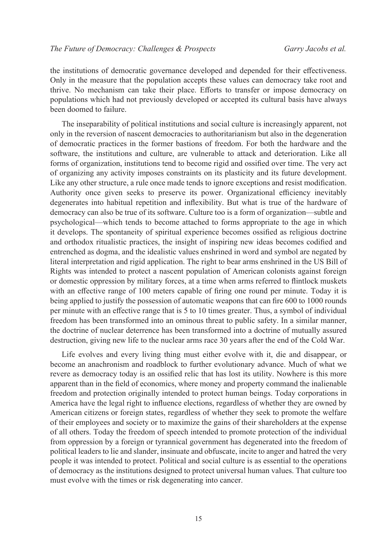the institutions of democratic governance developed and depended for their effectiveness. Only in the measure that the population accepts these values can democracy take root and thrive. No mechanism can take their place. Efforts to transfer or impose democracy on populations which had not previously developed or accepted its cultural basis have always been doomed to failure.

The inseparability of political institutions and social culture is increasingly apparent, not only in the reversion of nascent democracies to authoritarianism but also in the degeneration of democratic practices in the former bastions of freedom. For both the hardware and the software, the institutions and culture, are vulnerable to attack and deterioration. Like all forms of organization, institutions tend to become rigid and ossified over time. The very act of organizing any activity imposes constraints on its plasticity and its future development. Like any other structure, a rule once made tends to ignore exceptions and resist modification. Authority once given seeks to preserve its power. Organizational efficiency inevitably degenerates into habitual repetition and inflexibility. But what is true of the hardware of democracy can also be true of its software. Culture too is a form of organization—subtle and psychological—which tends to become attached to forms appropriate to the age in which it develops. The spontaneity of spiritual experience becomes ossified as religious doctrine and orthodox ritualistic practices, the insight of inspiring new ideas becomes codified and entrenched as dogma, and the idealistic values enshrined in word and symbol are negated by literal interpretation and rigid application. The right to bear arms enshrined in the US Bill of Rights was intended to protect a nascent population of American colonists against foreign or domestic oppression by military forces, at a time when arms referred to flintlock muskets with an effective range of 100 meters capable of firing one round per minute. Today it is being applied to justify the possession of automatic weapons that can fire 600 to 1000 rounds per minute with an effective range that is 5 to 10 times greater. Thus, a symbol of individual freedom has been transformed into an ominous threat to public safety. In a similar manner, the doctrine of nuclear deterrence has been transformed into a doctrine of mutually assured destruction, giving new life to the nuclear arms race 30 years after the end of the Cold War.

Life evolves and every living thing must either evolve with it, die and disappear, or become an anachronism and roadblock to further evolutionary advance. Much of what we revere as democracy today is an ossified relic that has lost its utility. Nowhere is this more apparent than in the field of economics, where money and property command the inalienable freedom and protection originally intended to protect human beings. Today corporations in America have the legal right to influence elections, regardless of whether they are owned by American citizens or foreign states, regardless of whether they seek to promote the welfare of their employees and society or to maximize the gains of their shareholders at the expense of all others. Today the freedom of speech intended to promote protection of the individual from oppression by a foreign or tyrannical government has degenerated into the freedom of political leaders to lie and slander, insinuate and obfuscate, incite to anger and hatred the very people it was intended to protect. Political and social culture is as essential to the operations of democracy as the institutions designed to protect universal human values. That culture too must evolve with the times or risk degenerating into cancer.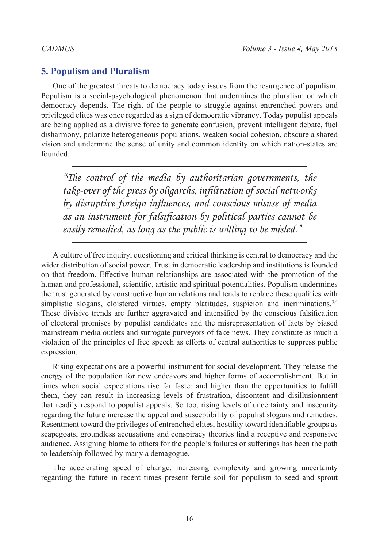## **5. Populism and Pluralism**

One of the greatest threats to democracy today issues from the resurgence of populism. Populism is a social-psychological phenomenon that undermines the pluralism on which democracy depends. The right of the people to struggle against entrenched powers and privileged elites was once regarded as a sign of democratic vibrancy. Today populist appeals are being applied as a divisive force to generate confusion, prevent intelligent debate, fuel disharmony, polarize heterogeneous populations, weaken social cohesion, obscure a shared vision and undermine the sense of unity and common identity on which nation-states are founded.

*"The control of the media by authoritarian governments, the take-over of the press by oligarchs, infiltration of social networks by disruptive foreign influences, and conscious misuse of media as an instrument for falsification by political parties cannot be easily remedied, as long as the public is willing to be misled."*

A culture of free inquiry, questioning and critical thinking is central to democracy and the wider distribution of social power. Trust in democratic leadership and institutions is founded on that freedom. Effective human relationships are associated with the promotion of the human and professional, scientific, artistic and spiritual potentialities. Populism undermines the trust generated by constructive human relations and tends to replace these qualities with simplistic slogans, cloistered virtues, empty platitudes, suspicion and incriminations.<sup>[3](#page-24-2),[4](#page-24-3)</sup> These divisive trends are further aggravated and intensified by the conscious falsification of electoral promises by populist candidates and the misrepresentation of facts by biased mainstream media outlets and surrogate purveyors of fake news. They constitute as much a violation of the principles of free speech as efforts of central authorities to suppress public expression.

Rising expectations are a powerful instrument for social development. They release the energy of the population for new endeavors and higher forms of accomplishment. But in times when social expectations rise far faster and higher than the opportunities to fulfill them, they can result in increasing levels of frustration, discontent and disillusionment that readily respond to populist appeals. So too, rising levels of uncertainty and insecurity regarding the future increase the appeal and susceptibility of populist slogans and remedies. Resentment toward the privileges of entrenched elites, hostility toward identifiable groups as scapegoats, groundless accusations and conspiracy theories find a receptive and responsive audience. Assigning blame to others for the people's failures or sufferings has been the path to leadership followed by many a demagogue.

The accelerating speed of change, increasing complexity and growing uncertainty regarding the future in recent times present fertile soil for populism to seed and sprout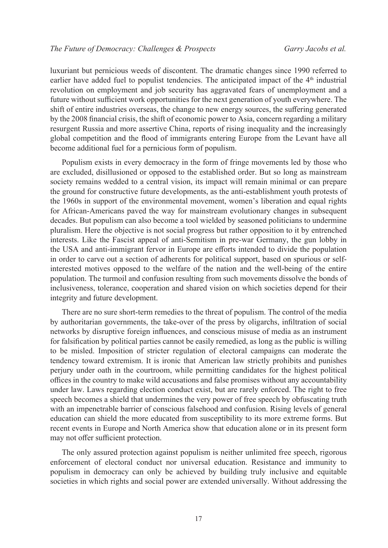luxuriant but pernicious weeds of discontent. The dramatic changes since 1990 referred to earlier have added fuel to populist tendencies. The anticipated impact of the  $4<sup>th</sup>$  industrial revolution on employment and job security has aggravated fears of unemployment and a future without sufficient work opportunities for the next generation of youth everywhere. The shift of entire industries overseas, the change to new energy sources, the suffering generated by the 2008 financial crisis, the shift of economic power to Asia, concern regarding a military resurgent Russia and more assertive China, reports of rising inequality and the increasingly global competition and the flood of immigrants entering Europe from the Levant have all become additional fuel for a pernicious form of populism.

Populism exists in every democracy in the form of fringe movements led by those who are excluded, disillusioned or opposed to the established order. But so long as mainstream society remains wedded to a central vision, its impact will remain minimal or can prepare the ground for constructive future developments, as the anti-establishment youth protests of the 1960s in support of the environmental movement, women's liberation and equal rights for African-Americans paved the way for mainstream evolutionary changes in subsequent decades. But populism can also become a tool wielded by seasoned politicians to undermine pluralism. Here the objective is not social progress but rather opposition to it by entrenched interests. Like the Fascist appeal of anti-Semitism in pre-war Germany, the gun lobby in the USA and anti-immigrant fervor in Europe are efforts intended to divide the population in order to carve out a section of adherents for political support, based on spurious or selfinterested motives opposed to the welfare of the nation and the well-being of the entire population. The turmoil and confusion resulting from such movements dissolve the bonds of inclusiveness, tolerance, cooperation and shared vision on which societies depend for their integrity and future development.

There are no sure short-term remedies to the threat of populism. The control of the media by authoritarian governments, the take-over of the press by oligarchs, infiltration of social networks by disruptive foreign influences, and conscious misuse of media as an instrument for falsification by political parties cannot be easily remedied, as long as the public is willing to be misled. Imposition of stricter regulation of electoral campaigns can moderate the tendency toward extremism. It is ironic that American law strictly prohibits and punishes perjury under oath in the courtroom, while permitting candidates for the highest political offices in the country to make wild accusations and false promises without any accountability under law. Laws regarding election conduct exist, but are rarely enforced. The right to free speech becomes a shield that undermines the very power of free speech by obfuscating truth with an impenetrable barrier of conscious falsehood and confusion. Rising levels of general education can shield the more educated from susceptibility to its more extreme forms. But recent events in Europe and North America show that education alone or in its present form may not offer sufficient protection.

The only assured protection against populism is neither unlimited free speech, rigorous enforcement of electoral conduct nor universal education. Resistance and immunity to populism in democracy can only be achieved by building truly inclusive and equitable societies in which rights and social power are extended universally. Without addressing the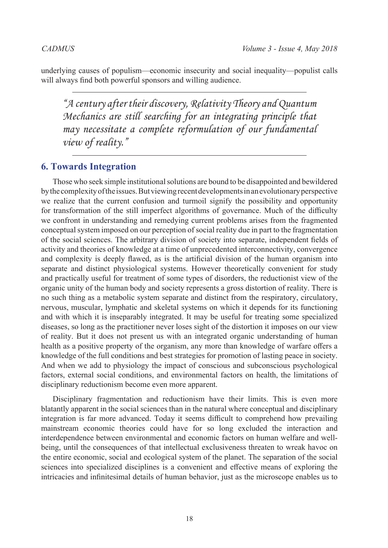underlying causes of populism—economic insecurity and social inequality—populist calls will always find both powerful sponsors and willing audience.

*"A century after their discovery, Relativity Theory and Quantum Mechanics are still searching for an integrating principle that may necessitate a complete reformulation of our fundamental view of reality."*

## **6. Towards Integration**

Those who seek simple institutional solutions are bound to be disappointed and bewildered by the complexity of the issues. But viewing recent developments in an evolutionary perspective we realize that the current confusion and turmoil signify the possibility and opportunity for transformation of the still imperfect algorithms of governance. Much of the difficulty we confront in understanding and remedying current problems arises from the fragmented conceptual system imposed on our perception of social reality due in part to the fragmentation of the social sciences. The arbitrary division of society into separate, independent fields of activity and theories of knowledge at a time of unprecedented interconnectivity, convergence and complexity is deeply flawed, as is the artificial division of the human organism into separate and distinct physiological systems. However theoretically convenient for study and practically useful for treatment of some types of disorders, the reductionist view of the organic unity of the human body and society represents a gross distortion of reality. There is no such thing as a metabolic system separate and distinct from the respiratory, circulatory, nervous, muscular, lymphatic and skeletal systems on which it depends for its functioning and with which it is inseparably integrated. It may be useful for treating some specialized diseases, so long as the practitioner never loses sight of the distortion it imposes on our view of reality. But it does not present us with an integrated organic understanding of human health as a positive property of the organism, any more than knowledge of warfare offers a knowledge of the full conditions and best strategies for promotion of lasting peace in society. And when we add to physiology the impact of conscious and subconscious psychological factors, external social conditions, and environmental factors on health, the limitations of disciplinary reductionism become even more apparent.

Disciplinary fragmentation and reductionism have their limits. This is even more blatantly apparent in the social sciences than in the natural where conceptual and disciplinary integration is far more advanced. Today it seems difficult to comprehend how prevailing mainstream economic theories could have for so long excluded the interaction and interdependence between environmental and economic factors on human welfare and wellbeing, until the consequences of that intellectual exclusiveness threaten to wreak havoc on the entire economic, social and ecological system of the planet. The separation of the social sciences into specialized disciplines is a convenient and effective means of exploring the intricacies and infinitesimal details of human behavior, just as the microscope enables us to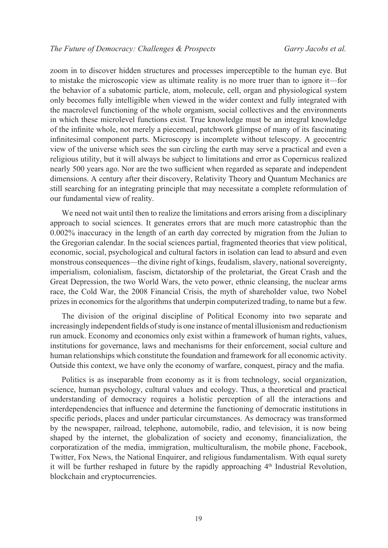zoom in to discover hidden structures and processes imperceptible to the human eye. But to mistake the microscopic view as ultimate reality is no more truer than to ignore it—for the behavior of a subatomic particle, atom, molecule, cell, organ and physiological system only becomes fully intelligible when viewed in the wider context and fully integrated with the macrolevel functioning of the whole organism, social collectives and the environments in which these microlevel functions exist. True knowledge must be an integral knowledge of the infinite whole, not merely a piecemeal, patchwork glimpse of many of its fascinating infinitesimal component parts. Microscopy is incomplete without telescopy. A geocentric view of the universe which sees the sun circling the earth may serve a practical and even a religious utility, but it will always be subject to limitations and error as Copernicus realized nearly 500 years ago. Nor are the two sufficient when regarded as separate and independent dimensions. A century after their discovery, Relativity Theory and Quantum Mechanics are still searching for an integrating principle that may necessitate a complete reformulation of our fundamental view of reality.

We need not wait until then to realize the limitations and errors arising from a disciplinary approach to social sciences. It generates errors that are much more catastrophic than the 0.002% inaccuracy in the length of an earth day corrected by migration from the Julian to the Gregorian calendar. In the social sciences partial, fragmented theories that view political, economic, social, psychological and cultural factors in isolation can lead to absurd and even monstrous consequences—the divine right of kings, feudalism, slavery, national sovereignty, imperialism, colonialism, fascism, dictatorship of the proletariat, the Great Crash and the Great Depression, the two World Wars, the veto power, ethnic cleansing, the nuclear arms race, the Cold War, the 2008 Financial Crisis, the myth of shareholder value, two Nobel prizes in economics for the algorithms that underpin computerized trading, to name but a few.

The division of the original discipline of Political Economy into two separate and increasingly independent fields of study is one instance of mental illusionism and reductionism run amuck. Economy and economics only exist within a framework of human rights, values, institutions for governance, laws and mechanisms for their enforcement, social culture and human relationships which constitute the foundation and framework for all economic activity. Outside this context, we have only the economy of warfare, conquest, piracy and the mafia.

Politics is as inseparable from economy as it is from technology, social organization, science, human psychology, cultural values and ecology. Thus, a theoretical and practical understanding of democracy requires a holistic perception of all the interactions and interdependencies that influence and determine the functioning of democratic institutions in specific periods, places and under particular circumstances. As democracy was transformed by the newspaper, railroad, telephone, automobile, radio, and television, it is now being shaped by the internet, the globalization of society and economy, financialization, the corporatization of the media, immigration, multiculturalism, the mobile phone, Facebook, Twitter, Fox News, the National Enquirer, and religious fundamentalism. With equal surety it will be further reshaped in future by the rapidly approaching  $4<sup>th</sup>$  Industrial Revolution, blockchain and cryptocurrencies.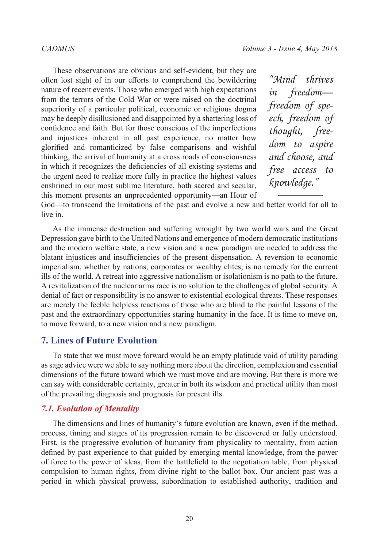These observations are obvious and self-evident, but they are often lost sight of in our efforts to comprehend the bewildering nature of recent events. Those who emerged with high expectations from the terrors of the Cold War or were raised on the doctrinal superiority of a particular political, economic or religious dogma may be deeply disillusioned and disappointed by a shattering loss of confidence and faith. But for those conscious of the imperfections and injustices inherent in all past experience, no matter how glorified and romanticized by false comparisons and wishful thinking, the arrival of humanity at a cross roads of consciousness in which it recognizes the deficiencies of all existing systems and the urgent need to realize more fully in practice the highest values enshrined in our most sublime literature, both sacred and secular, this moment presents an unprecedented opportunity—an Hour of

*"Mind thrives in freedom freedom of speech, freedom of thought, freedom to aspire and choose, and free access to knowledge."*

God—to transcend the limitations of the past and evolve a new and better world for all to live in.

As the immense destruction and suffering wrought by two world wars and the Great Depression gave birth to the United Nations and emergence of modern democratic institutions and the modern welfare state, a new vision and a new paradigm are needed to address the blatant injustices and insufficiencies of the present dispensation. A reversion to economic imperialism, whether by nations, corporates or wealthy elites, is no remedy for the current ills of the world. A retreat into aggressive nationalism or isolationism is no path to the future. A revitalization of the nuclear arms race is no solution to the challenges of global security. A denial of fact or responsibility is no answer to existential ecological threats. These responses are merely the feeble helpless reactions of those who are blind to the painful lessons of the past and the extraordinary opportunities staring humanity in the face. It is time to move on, to move forward, to a new vision and a new paradigm.

## **7. Lines of Future Evolution**

To state that we must move forward would be an empty platitude void of utility parading as sage advice were we able to say nothing more about the direction, complexion and essential dimensions of the future toward which we must move and are moving. But there is more we can say with considerable certainty, greater in both its wisdom and practical utility than most of the prevailing diagnosis and prognosis for present ills.

#### *7.1. Evolution of Mentality*

The dimensions and lines of humanity's future evolution are known, even if the method, process, timing and stages of its progression remain to be discovered or fully understood. First, is the progressive evolution of humanity from physicality to mentality, from action defined by past experience to that guided by emerging mental knowledge, from the power of force to the power of ideas, from the battlefield to the negotiation table, from physical compulsion to human rights, from divine right to the ballot box. Our ancient past was a period in which physical prowess, subordination to established authority, tradition and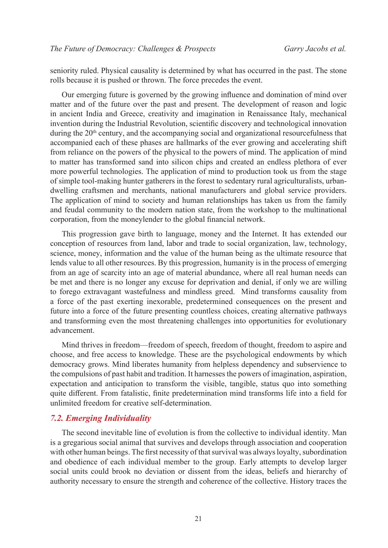seniority ruled. Physical causality is determined by what has occurred in the past. The stone rolls because it is pushed or thrown. The force precedes the event.

Our emerging future is governed by the growing influence and domination of mind over matter and of the future over the past and present. The development of reason and logic in ancient India and Greece, creativity and imagination in Renaissance Italy, mechanical invention during the Industrial Revolution, scientific discovery and technological innovation during the  $20<sup>th</sup>$  century, and the accompanying social and organizational resourcefulness that accompanied each of these phases are hallmarks of the ever growing and accelerating shift from reliance on the powers of the physical to the powers of mind. The application of mind to matter has transformed sand into silicon chips and created an endless plethora of ever more powerful technologies. The application of mind to production took us from the stage of simple tool-making hunter gatherers in the forest to sedentary rural agriculturalists, urbandwelling craftsmen and merchants, national manufacturers and global service providers. The application of mind to society and human relationships has taken us from the family and feudal community to the modern nation state, from the workshop to the multinational corporation, from the moneylender to the global financial network.

This progression gave birth to language, money and the Internet. It has extended our conception of resources from land, labor and trade to social organization, law, technology, science, money, information and the value of the human being as the ultimate resource that lends value to all other resources. By this progression, humanity is in the process of emerging from an age of scarcity into an age of material abundance, where all real human needs can be met and there is no longer any excuse for deprivation and denial, if only we are willing to forego extravagant wastefulness and mindless greed. Mind transforms causality from a force of the past exerting inexorable, predetermined consequences on the present and future into a force of the future presenting countless choices, creating alternative pathways and transforming even the most threatening challenges into opportunities for evolutionary advancement.

Mind thrives in freedom—freedom of speech, freedom of thought, freedom to aspire and choose, and free access to knowledge. These are the psychological endowments by which democracy grows. Mind liberates humanity from helpless dependency and subservience to the compulsions of past habit and tradition. It harnesses the powers of imagination, aspiration, expectation and anticipation to transform the visible, tangible, status quo into something quite different. From fatalistic, finite predetermination mind transforms life into a field for unlimited freedom for creative self-determination.

#### *7.2. Emerging Individuality*

The second inevitable line of evolution is from the collective to individual identity. Man is a gregarious social animal that survives and develops through association and cooperation with other human beings. The first necessity of that survival was always loyalty, subordination and obedience of each individual member to the group. Early attempts to develop larger social units could brook no deviation or dissent from the ideas, beliefs and hierarchy of authority necessary to ensure the strength and coherence of the collective. History traces the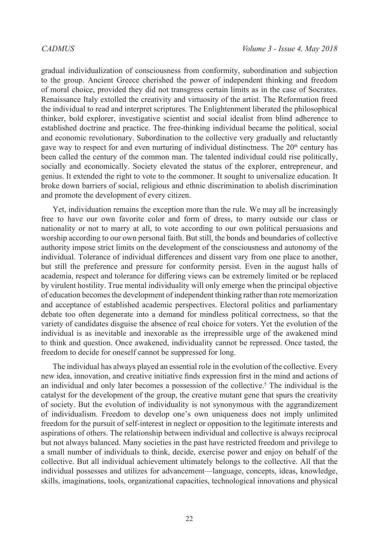gradual individualization of consciousness from conformity, subordination and subjection to the group. Ancient Greece cherished the power of independent thinking and freedom of moral choice, provided they did not transgress certain limits as in the case of Socrates. Renaissance Italy extolled the creativity and virtuosity of the artist. The Reformation freed the individual to read and interpret scriptures. The Enlightenment liberated the philosophical thinker, bold explorer, investigative scientist and social idealist from blind adherence to established doctrine and practice. The free-thinking individual became the political, social and economic revolutionary. Subordination to the collective very gradually and reluctantly gave way to respect for and even nurturing of individual distinctness. The  $20<sup>th</sup>$  century has been called the century of the common man. The talented individual could rise politically, socially and economically. Society elevated the status of the explorer, entrepreneur, and genius. It extended the right to vote to the commoner. It sought to universalize education. It broke down barriers of social, religious and ethnic discrimination to abolish discrimination and promote the development of every citizen.

Yet, individuation remains the exception more than the rule. We may all be increasingly free to have our own favorite color and form of dress, to marry outside our class or nationality or not to marry at all, to vote according to our own political persuasions and worship according to our own personal faith. But still, the bonds and boundaries of collective authority impose strict limits on the development of the consciousness and autonomy of the individual. Tolerance of individual differences and dissent vary from one place to another, but still the preference and pressure for conformity persist. Even in the august halls of academia, respect and tolerance for differing views can be extremely limited or be replaced by virulent hostility. True mental individuality will only emerge when the principal objective of education becomes the development of independent thinking rather than rote memorization and acceptance of established academic perspectives. Electoral politics and parliamentary debate too often degenerate into a demand for mindless political correctness, so that the variety of candidates disguise the absence of real choice for voters. Yet the evolution of the individual is as inevitable and inexorable as the irrepressible urge of the awakened mind to think and question. Once awakened, individuality cannot be repressed. Once tasted, the freedom to decide for oneself cannot be suppressed for long.

The individual has always played an essential role in the evolution of the collective. Every new idea, innovation, and creative initiative finds expression first in the mind and actions of an individual and only later becomes a possession of the collective.<sup>5</sup> The individual is the catalyst for the development of the group, the creative mutant gene that spurs the creativity of society. But the evolution of individuality is not synonymous with the aggrandizement of individualism. Freedom to develop one's own uniqueness does not imply unlimited freedom for the pursuit of self-interest in neglect or opposition to the legitimate interests and aspirations of others. The relationship between individual and collective is always reciprocal but not always balanced. Many societies in the past have restricted freedom and privilege to a small number of individuals to think, decide, exercise power and enjoy on behalf of the collective. But all individual achievement ultimately belongs to the collective. All that the individual possesses and utilizes for advancement—language, concepts, ideas, knowledge, skills, imaginations, tools, organizational capacities, technological innovations and physical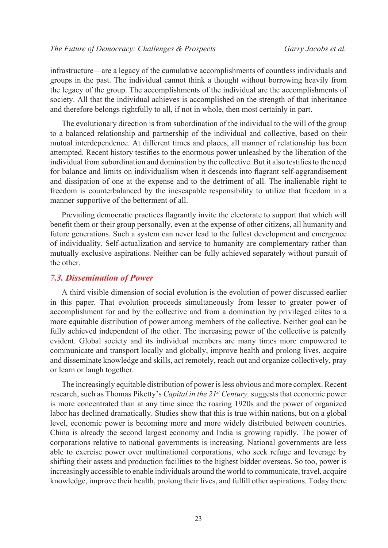infrastructure—are a legacy of the cumulative accomplishments of countless individuals and groups in the past. The individual cannot think a thought without borrowing heavily from the legacy of the group. The accomplishments of the individual are the accomplishments of society. All that the individual achieves is accomplished on the strength of that inheritance and therefore belongs rightfully to all, if not in whole, then most certainly in part.

The evolutionary direction is from subordination of the individual to the will of the group to a balanced relationship and partnership of the individual and collective, based on their mutual interdependence. At different times and places, all manner of relationship has been attempted. Recent history testifies to the enormous power unleashed by the liberation of the individual from subordination and domination by the collective. But it also testifies to the need for balance and limits on individualism when it descends into flagrant self-aggrandisement and dissipation of one at the expense and to the detriment of all. The inalienable right to freedom is counterbalanced by the inescapable responsibility to utilize that freedom in a manner supportive of the betterment of all.

Prevailing democratic practices flagrantly invite the electorate to support that which will benefit them or their group personally, even at the expense of other citizens, all humanity and future generations. Such a system can never lead to the fullest development and emergence of individuality. Self-actualization and service to humanity are complementary rather than mutually exclusive aspirations. Neither can be fully achieved separately without pursuit of the other.

#### *7.3. Dissemination of Power*

A third visible dimension of social evolution is the evolution of power discussed earlier in this paper. That evolution proceeds simultaneously from lesser to greater power of accomplishment for and by the collective and from a domination by privileged elites to a more equitable distribution of power among members of the collective. Neither goal can be fully achieved independent of the other. The increasing power of the collective is patently evident. Global society and its individual members are many times more empowered to communicate and transport locally and globally, improve health and prolong lives, acquire and disseminate knowledge and skills, act remotely, reach out and organize collectively, pray or learn or laugh together.

The increasingly equitable distribution of power is less obvious and more complex. Recent research, such as Thomas Piketty's *Capital in the 21st Century,* suggests that economic power is more concentrated than at any time since the roaring 1920s and the power of organized labor has declined dramatically. Studies show that this is true within nations, but on a global level, economic power is becoming more and more widely distributed between countries. China is already the second largest economy and India is growing rapidly. The power of corporations relative to national governments is increasing. National governments are less able to exercise power over multinational corporations, who seek refuge and leverage by shifting their assets and production facilities to the highest bidder overseas. So too, power is increasingly accessible to enable individuals around the world to communicate, travel, acquire knowledge, improve their health, prolong their lives, and fulfill other aspirations. Today there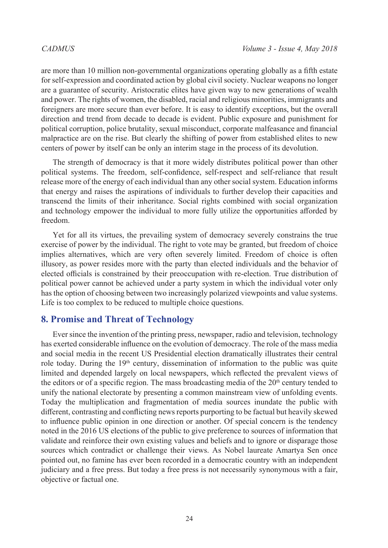are more than 10 million non-governmental organizations operating globally as a fifth estate for self-expression and coordinated action by global civil society. Nuclear weapons no longer are a guarantee of security. Aristocratic elites have given way to new generations of wealth and power. The rights of women, the disabled, racial and religious minorities, immigrants and foreigners are more secure than ever before. It is easy to identify exceptions, but the overall direction and trend from decade to decade is evident. Public exposure and punishment for political corruption, police brutality, sexual misconduct, corporate malfeasance and financial malpractice are on the rise. But clearly the shifting of power from established elites to new centers of power by itself can be only an interim stage in the process of its devolution.

The strength of democracy is that it more widely distributes political power than other political systems. The freedom, self-confidence, self-respect and self-reliance that result release more of the energy of each individual than any other social system. Education informs that energy and raises the aspirations of individuals to further develop their capacities and transcend the limits of their inheritance. Social rights combined with social organization and technology empower the individual to more fully utilize the opportunities afforded by freedom.

Yet for all its virtues, the prevailing system of democracy severely constrains the true exercise of power by the individual. The right to vote may be granted, but freedom of choice implies alternatives, which are very often severely limited. Freedom of choice is often illusory, as power resides more with the party than elected individuals and the behavior of elected officials is constrained by their preoccupation with re-election. True distribution of political power cannot be achieved under a party system in which the individual voter only has the option of choosing between two increasingly polarized viewpoints and value systems. Life is too complex to be reduced to multiple choice questions.

## **8. Promise and Threat of Technology**

Ever since the invention of the printing press, newspaper, radio and television, technology has exerted considerable influence on the evolution of democracy. The role of the mass media and social media in the recent US Presidential election dramatically illustrates their central role today. During the  $19<sup>th</sup>$  century, dissemination of information to the public was quite limited and depended largely on local newspapers, which reflected the prevalent views of the editors or of a specific region. The mass broadcasting media of the  $20<sup>th</sup>$  century tended to unify the national electorate by presenting a common mainstream view of unfolding events. Today the multiplication and fragmentation of media sources inundate the public with different, contrasting and conflicting news reports purporting to be factual but heavily skewed to influence public opinion in one direction or another. Of special concern is the tendency noted in the 2016 US elections of the public to give preference to sources of information that validate and reinforce their own existing values and beliefs and to ignore or disparage those sources which contradict or challenge their views. As Nobel laureate Amartya Sen once pointed out, no famine has ever been recorded in a democratic country with an independent judiciary and a free press. But today a free press is not necessarily synonymous with a fair, objective or factual one.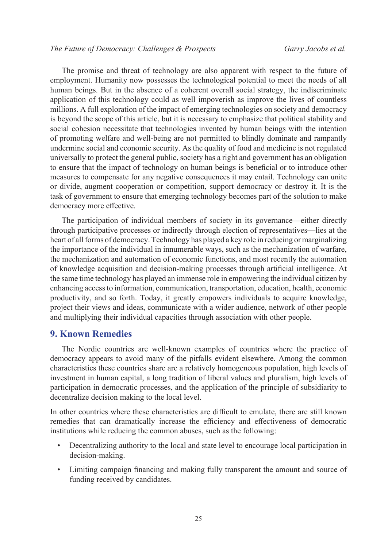The promise and threat of technology are also apparent with respect to the future of employment. Humanity now possesses the technological potential to meet the needs of all human beings. But in the absence of a coherent overall social strategy, the indiscriminate application of this technology could as well impoverish as improve the lives of countless millions. A full exploration of the impact of emerging technologies on society and democracy is beyond the scope of this article, but it is necessary to emphasize that political stability and social cohesion necessitate that technologies invented by human beings with the intention of promoting welfare and well-being are not permitted to blindly dominate and rampantly undermine social and economic security. As the quality of food and medicine is not regulated universally to protect the general public, society has a right and government has an obligation to ensure that the impact of technology on human beings is beneficial or to introduce other measures to compensate for any negative consequences it may entail. Technology can unite or divide, augment cooperation or competition, support democracy or destroy it. It is the task of government to ensure that emerging technology becomes part of the solution to make democracy more effective.

The participation of individual members of society in its governance—either directly through participative processes or indirectly through election of representatives—lies at the heart of all forms of democracy. Technology has played a key role in reducing or marginalizing the importance of the individual in innumerable ways, such as the mechanization of warfare, the mechanization and automation of economic functions, and most recently the automation of knowledge acquisition and decision-making processes through artificial intelligence. At the same time technology has played an immense role in empowering the individual citizen by enhancing access to information, communication, transportation, education, health, economic productivity, and so forth. Today, it greatly empowers individuals to acquire knowledge, project their views and ideas, communicate with a wider audience, network of other people and multiplying their individual capacities through association with other people.

### **9. Known Remedies**

The Nordic countries are well-known examples of countries where the practice of democracy appears to avoid many of the pitfalls evident elsewhere. Among the common characteristics these countries share are a relatively homogeneous population, high levels of investment in human capital, a long tradition of liberal values and pluralism, high levels of participation in democratic processes, and the application of the principle of subsidiarity to decentralize decision making to the local level.

In other countries where these characteristics are difficult to emulate, there are still known remedies that can dramatically increase the efficiency and effectiveness of democratic institutions while reducing the common abuses, such as the following:

- Decentralizing authority to the local and state level to encourage local participation in decision-making.
- Limiting campaign financing and making fully transparent the amount and source of funding received by candidates.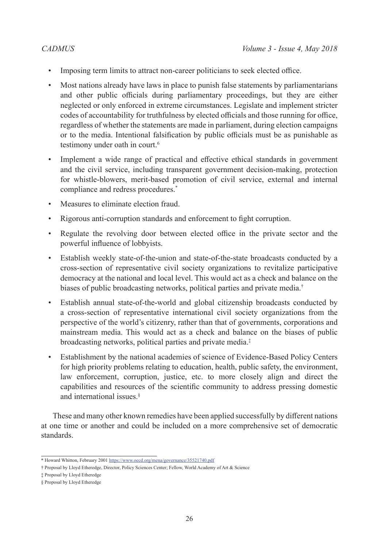- Imposing term limits to attract non-career politicians to seek elected office.
- Most nations already have laws in place to punish false statements by parliamentarians and other public officials during parliamentary proceedings, but they are either neglected or only enforced in extreme circumstances. Legislate and implement stricter codes of accountability for truthfulness by elected officials and those running for office, regardless of whether the statements are made in parliament, during election campaigns or to the media. Intentional falsification by public officials must be as punishable as testimony under oath in court.<sup>[6](#page-24-5)</sup>
- Implement a wide range of practical and effective ethical standards in government and the civil service, including transparent government decision-making, protection for whistle-blowers, merit-based promotion of civil service, external and internal compliance and redress procedures.\*
- Measures to eliminate election fraud.
- Rigorous anti-corruption standards and enforcement to fight corruption.
- Regulate the revolving door between elected office in the private sector and the powerful influence of lobbyists.
- Establish weekly state-of-the-union and state-of-the-state broadcasts conducted by a cross-section of representative civil society organizations to revitalize participative democracy at the national and local level. This would act as a check and balance on the biases of public broadcasting networks, political parties and private media.†
- Establish annual state-of-the-world and global citizenship broadcasts conducted by a cross-section of representative international civil society organizations from the perspective of the world's citizenry, rather than that of governments, corporations and mainstream media. This would act as a check and balance on the biases of public broadcasting networks, political parties and private media.‡
- Establishment by the national academies of science of Evidence-Based Policy Centers for high priority problems relating to education, health, public safety, the environment, law enforcement, corruption, justice, etc. to more closely align and direct the capabilities and resources of the scientific community to address pressing domestic and international issues.§

These and many other known remedies have been applied successfully by different nations at one time or another and could be included on a more comprehensive set of democratic standards.

<sup>\*</sup> Howard Whitton, February 2001 <https://www.oecd.org/mena/governance/35521740.pdf>

<sup>†</sup> Proposal by Lloyd Etheredge, Director, Policy Sciences Center; Fellow, World Academy of Art & Science

<sup>‡</sup> Proposal by Lloyd Etheredge

<sup>§</sup> Proposal by Lloyd Etheredge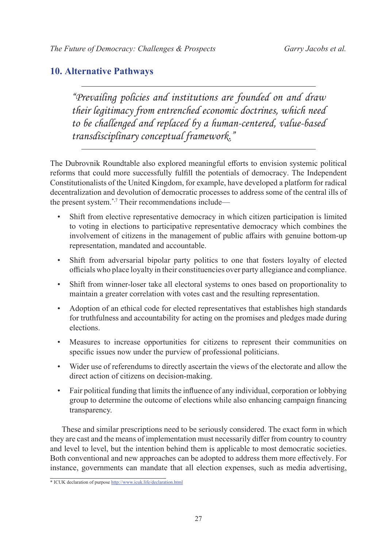## **10. Alternative Pathways**

*"Prevailing policies and institutions are founded on and draw their legitimacy from entrenched economic doctrines, which need to be challenged and replaced by a human-centered, value-based transdisciplinary conceptual framework."*

The Dubrovnik Roundtable also explored meaningful efforts to envision systemic political reforms that could more successfully fulfill the potentials of democracy. The Independent Constitutionalists of the United Kingdom, for example, have developed a platform for radical decentralization and devolution of democratic processes to address some of the central ills of the present system.\*[,7](#page-24-6) Their recommendations include—

- Shift from elective representative democracy in which citizen participation is limited to voting in elections to participative representative democracy which combines the involvement of citizens in the management of public affairs with genuine bottom-up representation, mandated and accountable.
- Shift from adversarial bipolar party politics to one that fosters loyalty of elected officials who place loyalty in their constituencies over party allegiance and compliance.
- Shift from winner-loser take all electoral systems to ones based on proportionality to maintain a greater correlation with votes cast and the resulting representation.
- Adoption of an ethical code for elected representatives that establishes high standards for truthfulness and accountability for acting on the promises and pledges made during elections.
- Measures to increase opportunities for citizens to represent their communities on specific issues now under the purview of professional politicians.
- Wider use of referendums to directly ascertain the views of the electorate and allow the direct action of citizens on decision-making.
- Fair political funding that limits the influence of any individual, corporation or lobbying group to determine the outcome of elections while also enhancing campaign financing transparency.

These and similar prescriptions need to be seriously considered. The exact form in which they are cast and the means of implementation must necessarily differ from country to country and level to level, but the intention behind them is applicable to most democratic societies. Both conventional and new approaches can be adopted to address them more effectively. For instance, governments can mandate that all election expenses, such as media advertising,

<sup>\*</sup> ICUK declaration of purpose<http://www.icuk.life/declaration.html>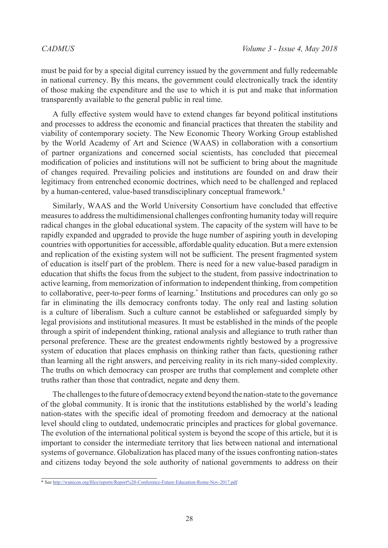must be paid for by a special digital currency issued by the government and fully redeemable in national currency. By this means, the government could electronically track the identity of those making the expenditure and the use to which it is put and make that information transparently available to the general public in real time.

A fully effective system would have to extend changes far beyond political institutions and processes to address the economic and financial practices that threaten the stability and viability of contemporary society. The New Economic Theory Working Group established by the World Academy of Art and Science (WAAS) in collaboration with a consortium of partner organizations and concerned social scientists, has concluded that piecemeal modification of policies and institutions will not be sufficient to bring about the magnitude of changes required. Prevailing policies and institutions are founded on and draw their legitimacy from entrenched economic doctrines, which need to be challenged and replaced by a human-centered, value-based transdisciplinary conceptual framework.<sup>[8](#page-24-7)</sup>

Similarly, WAAS and the World University Consortium have concluded that effective measures to address the multidimensional challenges confronting humanity today will require radical changes in the global educational system. The capacity of the system will have to be rapidly expanded and upgraded to provide the huge number of aspiring youth in developing countries with opportunities for accessible, affordable quality education. But a mere extension and replication of the existing system will not be sufficient. The present fragmented system of education is itself part of the problem. There is need for a new value-based paradigm in education that shifts the focus from the subject to the student, from passive indoctrination to active learning, from memorization of information to independent thinking, from competition to collaborative, peer-to-peer forms of learning.\* Institutions and procedures can only go so far in eliminating the ills democracy confronts today. The only real and lasting solution is a culture of liberalism. Such a culture cannot be established or safeguarded simply by legal provisions and institutional measures. It must be established in the minds of the people through a spirit of independent thinking, rational analysis and allegiance to truth rather than personal preference. These are the greatest endowments rightly bestowed by a progressive system of education that places emphasis on thinking rather than facts, questioning rather than learning all the right answers, and perceiving reality in its rich many-sided complexity. The truths on which democracy can prosper are truths that complement and complete other truths rather than those that contradict, negate and deny them.

The challenges to the future of democracy extend beyond the nation-state to the governance of the global community. It is ironic that the institutions established by the world's leading nation-states with the specific ideal of promoting freedom and democracy at the national level should cling to outdated, undemocratic principles and practices for global governance. The evolution of the international political system is beyond the scope of this article, but it is important to consider the intermediate territory that lies between national and international systems of governance. Globalization has placed many of the issues confronting nation-states and citizens today beyond the sole authority of national governments to address on their

<sup>\*</sup> See <http://wunicon.org/files/reports/Report%20-Conference-Future-Education-Rome-Nov-2017.pdf>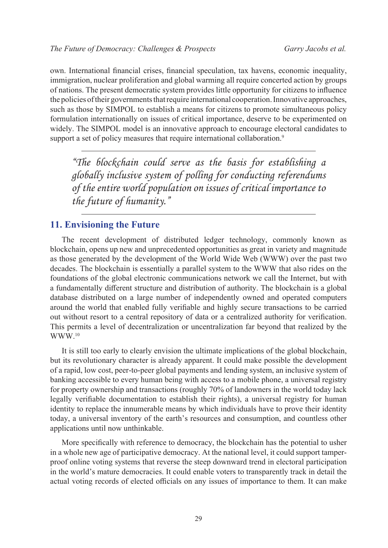own. International financial crises, financial speculation, tax havens, economic inequality, immigration, nuclear proliferation and global warming all require concerted action by groups of nations. The present democratic system provides little opportunity for citizens to influence the policies of their governments that require international cooperation. Innovative approaches, such as those by SIMPOL to establish a means for citizens to promote simultaneous policy formulation internationally on issues of critical importance, deserve to be experimented on widely. The SIMPOL model is an innovative approach to encourage electoral candidates to support a set of policy measures that require international collaboration.<sup>9</sup>

*"The blockchain could serve as the basis for establishing a globally inclusive system of polling for conducting referendums of the entire world population on issues of critical importance to the future of humanity."*

### **11. Envisioning the Future**

The recent development of distributed ledger technology, commonly known as blockchain, opens up new and unprecedented opportunities as great in variety and magnitude as those generated by the development of the World Wide Web (WWW) over the past two decades. The blockchain is essentially a parallel system to the WWW that also rides on the foundations of the global electronic communications network we call the Internet, but with a fundamentally different structure and distribution of authority. The blockchain is a global database distributed on a large number of independently owned and operated computers around the world that enabled fully verifiable and highly secure transactions to be carried out without resort to a central repository of data or a centralized authority for verification. This permits a level of decentralization or uncentralization far beyond that realized by the WWW.10

It is still too early to clearly envision the ultimate implications of the global blockchain, but its revolutionary character is already apparent. It could make possible the development of a rapid, low cost, peer-to-peer global payments and lending system, an inclusive system of banking accessible to every human being with access to a mobile phone, a universal registry for property ownership and transactions (roughly 70% of landowners in the world today lack legally verifiable documentation to establish their rights), a universal registry for human identity to replace the innumerable means by which individuals have to prove their identity today, a universal inventory of the earth's resources and consumption, and countless other applications until now unthinkable.

More specifically with reference to democracy, the blockchain has the potential to usher in a whole new age of participative democracy. At the national level, it could support tamperproof online voting systems that reverse the steep downward trend in electoral participation in the world's mature democracies. It could enable voters to transparently track in detail the actual voting records of elected officials on any issues of importance to them. It can make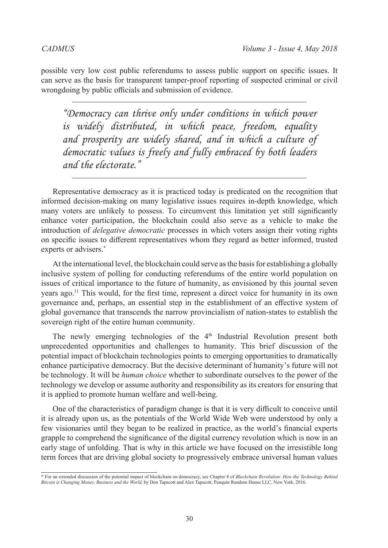possible very low cost public referendums to assess public support on specific issues. It can serve as the basis for transparent tamper-proof reporting of suspected criminal or civil wrongdoing by public officials and submission of evidence.

*"Democracy can thrive only under conditions in which power is widely distributed, in which peace, freedom, equality and prosperity are widely shared, and in which a culture of democratic values is freely and fully embraced by both leaders and the electorate."*

Representative democracy as it is practiced today is predicated on the recognition that informed decision-making on many legislative issues requires in-depth knowledge, which many voters are unlikely to possess. To circumvent this limitation yet still significantly enhance voter participation, the blockchain could also serve as a vehicle to make the introduction of *delegative democratic* processes in which voters assign their voting rights on specific issues to different representatives whom they regard as better informed, trusted experts or advisers.<sup>\*</sup>

At the international level, the blockchain could serve as the basis for establishing a globally inclusive system of polling for conducting referendums of the entire world population on issues of critical importance to the future of humanity, as envisioned by this journal seven years ago.<sup>11</sup> This would, for the first time, represent a direct voice for humanity in its own governance and, perhaps, an essential step in the establishment of an effective system of global governance that transcends the narrow provincialism of nation-states to establish the sovereign right of the entire human community.

The newly emerging technologies of the  $4<sup>th</sup>$  Industrial Revolution present both unprecedented opportunities and challenges to humanity. This brief discussion of the potential impact of blockchain technologies points to emerging opportunities to dramatically enhance participative democracy. But the decisive determinant of humanity's future will not be technology. It will be *human choice* whether to subordinate ourselves to the power of the technology we develop or assume authority and responsibility as its creators for ensuring that it is applied to promote human welfare and well-being.

One of the characteristics of paradigm change is that it is very difficult to conceive until it is already upon us, as the potentials of the World Wide Web were understood by only a few visionaries until they began to be realized in practice, as the world's financial experts grapple to comprehend the significance of the digital currency revolution which is now in an early stage of unfolding. That is why in this article we have focused on the irresistible long term forces that are driving global society to progressively embrace universal human values

<sup>\*</sup> For an extended discussion of the potential impact of blockchain on democracy, see Chapter 8 of *Blockchain Revolution: How the Technology Behind Bitcoin is Changing Money, Business and the World,* by Don Tapscott and Alex Tapscott, Penquin Random House LLC, New York, 2016.